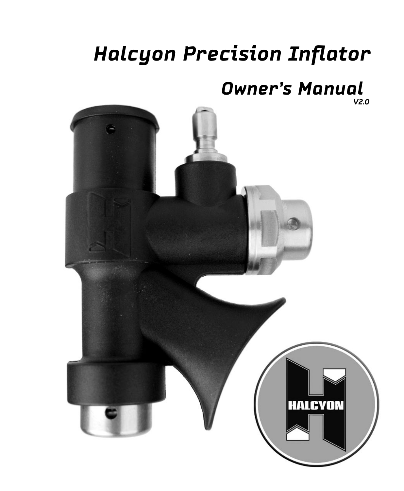# *Halcyon Precision Inflator*

# *Owner's Manual*

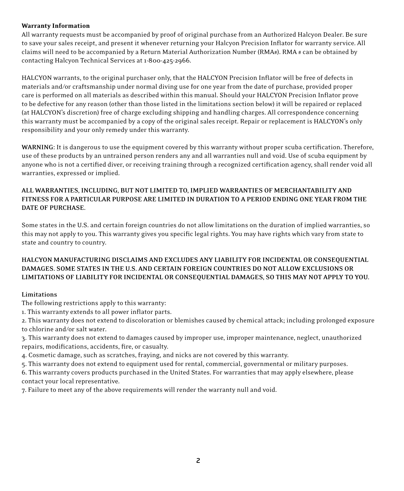#### Warranty Information

All warranty requests must be accompanied by proof of original purchase from an Authorized Halcyon Dealer. Be sure to save your sales receipt, and present it whenever returning your Halcyon Precision Inflator for warranty service. All claims will need to be accompanied by a Return Material Authorization Number (RMA#). RMA # can be obtained by contacting Halcyon Technical Services at 1-800-425-2966.

HALCYON warrants, to the original purchaser only, that the HALCYON Precision Inflator will be free of defects in materials and/or craftsmanship under normal diving use for one year from the date of purchase, provided proper care is performed on all materials as described within this manual. Should your HALCYON Precision Inflator prove to be defective for any reason (other than those listed in the limitations section below) it will be repaired or replaced (at HALCYON's discretion) free of charge excluding shipping and handling charges. All correspondence concerning this warranty must be accompanied by a copy of the original sales receipt. Repair or replacement is HALCYON's only responsibility and your only remedy under this warranty.

**WARNING:** It is dangerous to use the equipment covered by this warranty without proper scuba certification. Therefore, use of these products by an untrained person renders any and all warranties null and void. Use of scuba equipment by anyone who is not a certified diver, or receiving training through a recognized certification agency, shall render void all warranties, expressed or implied.

### **ALL WARRANTIES, INCLUDING, BUT NOT LIMITED TO, IMPLIED WARRANTIES OF MERCHANTABILITY AND FITNESS FOR A PARTICULAR PURPOSE ARE LIMITED IN DURATION TO A PERIOD ENDING ONE YEAR FROM THE DATE OF PURCHASE.**

Some states in the U.S. and certain foreign countries do not allow limitations on the duration of implied warranties, so this may not apply to you. This warranty gives you specific legal rights. You may have rights which vary from state to state and country to country.

### **HALCYON MANUFACTURING DISCLAIMS AND EXCLUDES ANY LIABILITY FOR INCIDENTAL OR CONSEQUENTIAL DAMAGES. SOME STATES IN THE U.S. AND CERTAIN FOREIGN COUNTRIES DO NOT ALLOW EXCLUSIONS OR LIMITATIONS OF LIABILITY FOR INCIDENTAL OR CONSEQUENTIAL DAMAGES, SO THIS MAY NOT APPLY TO YOU.**

#### **Limitations**

The following restrictions apply to this warranty:

1. This warranty extends to all power inflator parts.

2. This warranty does not extend to discoloration or blemishes caused by chemical attack; including prolonged exposure to chlorine and/or salt water.

3. This warranty does not extend to damages caused by improper use, improper maintenance, neglect, unauthorized repairs, modifications, accidents, fire, or casualty.

4. Cosmetic damage, such as scratches, fraying, and nicks are not covered by this warranty.

5. This warranty does not extend to equipment used for rental, commercial, governmental or military purposes.

6. This warranty covers products purchased in the United States. For warranties that may apply elsewhere, please contact your local representative.

7. Failure to meet any of the above requirements will render the warranty null and void.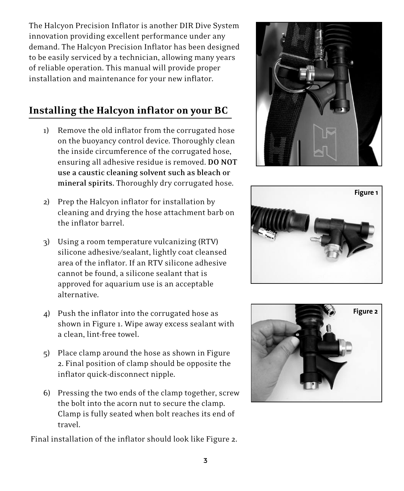The Halcyon Precision Inflator is another DIR Dive System innovation providing excellent performance under any demand. The Halcyon Precision Inflator has been designed to be easily serviced by a technician, allowing many years of reliable operation. This manual will provide proper installation and maintenance for your new inflator.

# Installing the Halcyon inflator on your BC

- 1) Remove the old inflator from the corrugated hose on the buoyancy control device. Thoroughly clean the inside circumference of the corrugated hose, ensuring all adhesive residue is removed. **DO NOT use a caustic cleaning solvent such as bleach or mineral spirits.** Thoroughly dry corrugated hose.
- 2) Prep the Halcyon inflator for installation by cleaning and drying the hose attachment barb on the inflator barrel.
- 3) Using a room temperature vulcanizing (RTV) silicone adhesive/sealant, lightly coat cleansed area of the inflator. If an RTV silicone adhesive cannot be found, a silicone sealant that is approved for aquarium use is an acceptable alternative.
- 4) Push the inflator into the corrugated hose as shown in Figure 1. Wipe away excess sealant with a clean, lint-free towel.
- 5) Place clamp around the hose as shown in Figure 2. Final position of clamp should be opposite the inflator quick-disconnect nipple.
- 6) Pressing the two ends of the clamp together, screw the bolt into the acorn nut to secure the clamp. Clamp is fully seated when bolt reaches its end of travel.

Final installation of the inflator should look like Figure 2.





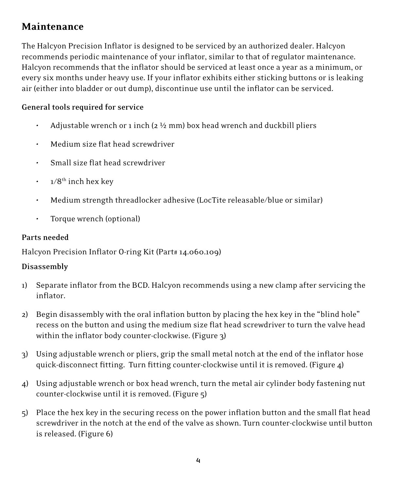# Maintenance

The Halcyon Precision Inflator is designed to be serviced by an authorized dealer. Halcyon recommends periodic maintenance of your inflator, similar to that of regulator maintenance. Halcyon recommends that the inflator should be serviced at least once a year as a minimum, or every six months under heavy use. If your inflator exhibits either sticking buttons or is leaking air (either into bladder or out dump), discontinue use until the inflator can be serviced.

# **General tools required for service**

- Adjustable wrench or 1 inch ( $2\frac{1}{2}$  mm) box head wrench and duckbill pliers
- Medium size flat head screwdriver
- Small size flat head screwdriver
- $1/8^{th}$  inch hex key
- Medium strength threadlocker adhesive (LocTite releasable/blue or similar)
- Torque wrench (optional)

## **Parts needed**

Halcyon Precision Inflator O-ring Kit (Part# 14.060.109)

## **Disassembly**

- 1) Separate inflator from the BCD. Halcyon recommends using a new clamp after servicing the inflator.
- 2) Begin disassembly with the oral inflation button by placing the hex key in the "blind hole" recess on the button and using the medium size flat head screwdriver to turn the valve head within the inflator body counter-clockwise. (Figure 3)
- 3) Using adjustable wrench or pliers, grip the small metal notch at the end of the inflator hose quick-disconnect fitting. Turn fitting counter-clockwise until it is removed. (Figure 4)
- 4) Using adjustable wrench or box head wrench, turn the metal air cylinder body fastening nut counter-clockwise until it is removed. (Figure 5)
- 5) Place the hex key in the securing recess on the power inflation button and the small flat head screwdriver in the notch at the end of the valve as shown. Turn counter-clockwise until button is released. (Figure 6)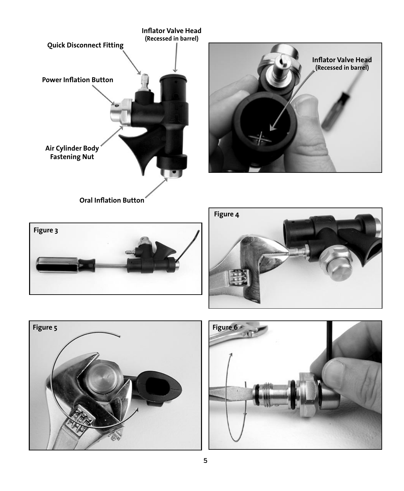



**Oral Inflation Button**







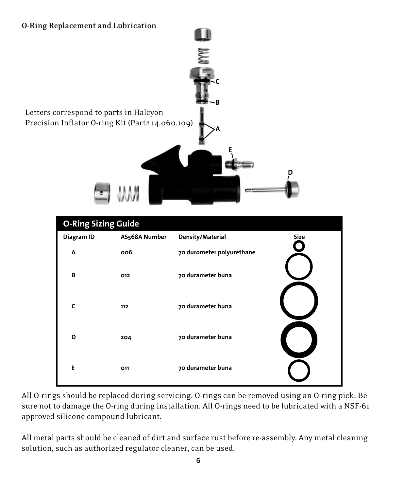## **O-Ring Replacement and Lubrication**





All O-rings should be replaced during servicing. O-rings can be removed using an O-ring pick. Be sure not to damage the O-ring during installation. All O-rings need to be lubricated with a NSF-61 approved silicone compound lubricant.

All metal parts should be cleaned of dirt and surface rust before re-assembly. Any metal cleaning solution, such as authorized regulator cleaner, can be used.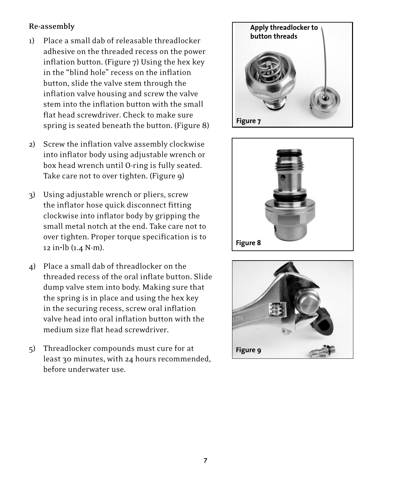## **Re-assembly**

- 1) Place a small dab of releasable threadlocker adhesive on the threaded recess on the power inflation button. (Figure 7) Using the hex key in the "blind hole" recess on the inflation button, slide the valve stem through the inflation valve housing and screw the valve stem into the inflation button with the small flat head screwdriver. Check to make sure spring is seated beneath the button. (Figure 8)
- 2) Screw the inflation valve assembly clockwise into inflator body using adjustable wrench or box head wrench until O-ring is fully seated. Take care not to over tighten. (Figure 9)
- 3) Using adjustable wrench or pliers, screw the inflator hose quick disconnect fitting clockwise into inflator body by gripping the small metal notch at the end. Take care not to over tighten. Proper torque specification is to 12 in•lb (1.4 N-m).
- 4) Place a small dab of threadlocker on the threaded recess of the oral inflate button. Slide dump valve stem into body. Making sure that the spring is in place and using the hex key in the securing recess, screw oral inflation valve head into oral inflation button with the medium size flat head screwdriver.
- 5) Threadlocker compounds must cure for at least 30 minutes, with 24 hours recommended, before underwater use.